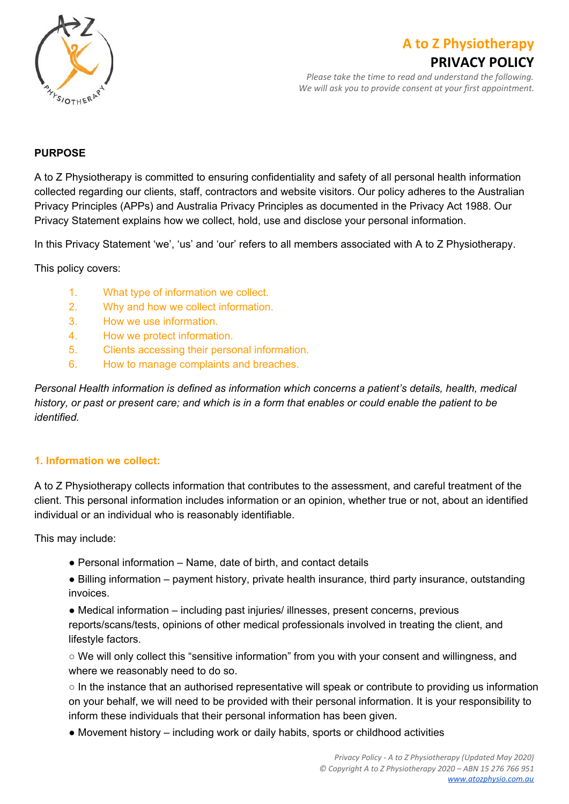

# **A to Z Physiotherapy**

## **PRIVACY POLICY**

*Please take the time to read and understand the following. We will ask you to provide consent at your first appointment.*

#### **PURPOSE**

A to Z Physiotherapy is committed to ensuring confidentiality and safety of all personal health information collected regarding our clients, staff, contractors and website visitors. Our policy adheres to the Australian Privacy Principles (APPs) and Australia Privacy Principles as documented in the Privacy Act 1988. Our Privacy Statement explains how we collect, hold, use and disclose your personal information.

In this Privacy Statement 'we', 'us' and 'our' refers to all members associated with A to Z Physiotherapy.

This policy covers:

- 1. What type of information we collect.
- 2. Why and how we collect information.
- 3. How we use information.
- 4. How we protect information.
- 5. Clients accessing their personal information.
- 6. How to manage complaints and breaches.

*Personal Health information is defined as information which concerns a patient's details, health, medical* history, or past or present care; and which is in a form that enables or could enable the patient to be *identified.*

#### **1. Information we collect:**

A to Z Physiotherapy collects information that contributes to the assessment, and careful treatment of the client. This personal information includes information or an opinion, whether true or not, about an identified individual or an individual who is reasonably identifiable.

This may include:

- Personal information Name, date of birth, and contact details
- Billing information payment history, private health insurance, third party insurance, outstanding invoices.

• Medical information – including past injuries/ illnesses, present concerns, previous reports/scans/tests, opinions of other medical professionals involved in treating the client, and lifestyle factors.

○ We will only collect this "sensitive information" from you with your consent and willingness, and where we reasonably need to do so.

○ In the instance that an authorised representative will speak or contribute to providing us information on your behalf, we will need to be provided with their personal information. It is your responsibility to inform these individuals that their personal information has been given.

● Movement history – including work or daily habits, sports or childhood activities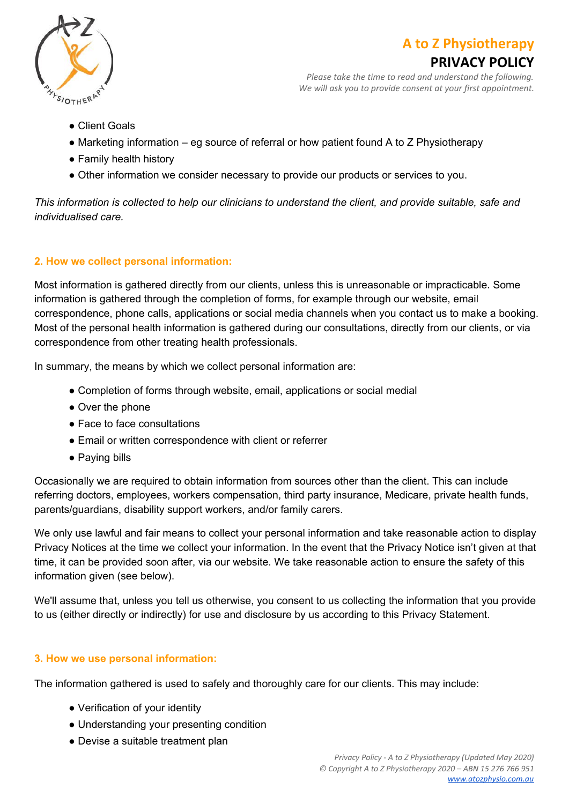

## **A to Z Physiotherapy**



*Please take the time to read and understand the following. We will ask you to provide consent at your first appointment.*

- Client Goals
- Marketing information eg source of referral or how patient found A to Z Physiotherapy
- Family health history
- Other information we consider necessary to provide our products or services to you.

This information is collected to help our clinicians to understand the client, and provide suitable, safe and *individualised care.*

#### **2. How we collect personal information:**

Most information is gathered directly from our clients, unless this is unreasonable or impracticable. Some information is gathered through the completion of forms, for example through our website, email correspondence, phone calls, applications or social media channels when you contact us to make a booking. Most of the personal health information is gathered during our consultations, directly from our clients, or via correspondence from other treating health professionals.

In summary, the means by which we collect personal information are:

- Completion of forms through website, email, applications or social medial
- Over the phone
- Face to face consultations
- Email or written correspondence with client or referrer
- Paying bills

Occasionally we are required to obtain information from sources other than the client. This can include referring doctors, employees, workers compensation, third party insurance, Medicare, private health funds, parents/guardians, disability support workers, and/or family carers.

We only use lawful and fair means to collect your personal information and take reasonable action to display Privacy Notices at the time we collect your information. In the event that the Privacy Notice isn't given at that time, it can be provided soon after, via our website. We take reasonable action to ensure the safety of this information given (see below).

We'll assume that, unless you tell us otherwise, you consent to us collecting the information that you provide to us (either directly or indirectly) for use and disclosure by us according to this Privacy Statement.

#### **3. How we use personal information:**

The information gathered is used to safely and thoroughly care for our clients. This may include:

- Verification of your identity
- Understanding your presenting condition
- Devise a suitable treatment plan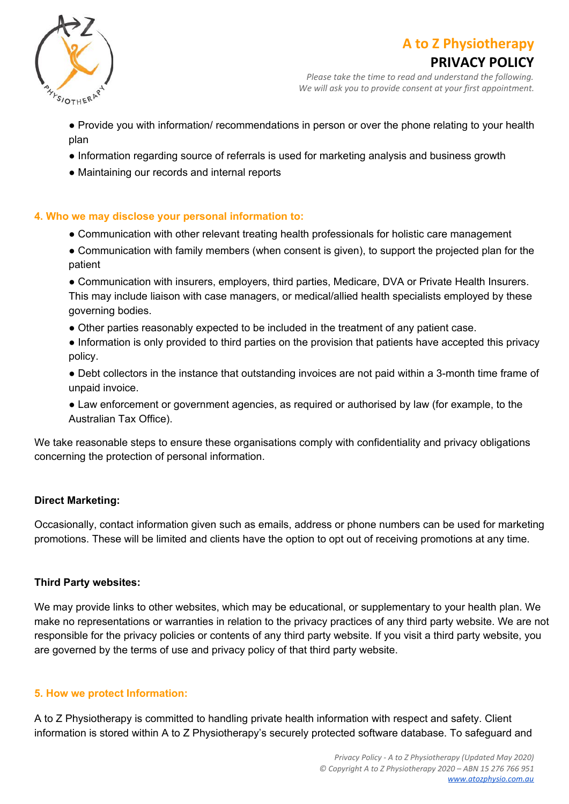



## **PRIVACY POLICY**

*Please take the time to read and understand the following. We will ask you to provide consent at your first appointment.*

- Provide you with information/ recommendations in person or over the phone relating to your health plan
- Information regarding source of referrals is used for marketing analysis and business growth
- Maintaining our records and internal reports

#### **4. Who we may disclose your personal information to:**

- Communication with other relevant treating health professionals for holistic care management
- Communication with family members (when consent is given), to support the projected plan for the patient

● Communication with insurers, employers, third parties, Medicare, DVA or Private Health Insurers. This may include liaison with case managers, or medical/allied health specialists employed by these governing bodies.

- Other parties reasonably expected to be included in the treatment of any patient case.
- Information is only provided to third parties on the provision that patients have accepted this privacy policy.
- Debt collectors in the instance that outstanding invoices are not paid within a 3-month time frame of unpaid invoice.
- Law enforcement or government agencies, as required or authorised by law (for example, to the Australian Tax Office).

We take reasonable steps to ensure these organisations comply with confidentiality and privacy obligations concerning the protection of personal information.

#### **Direct Marketing:**

Occasionally, contact information given such as emails, address or phone numbers can be used for marketing promotions. These will be limited and clients have the option to opt out of receiving promotions at any time.

#### **Third Party websites:**

We may provide links to other websites, which may be educational, or supplementary to your health plan. We make no representations or warranties in relation to the privacy practices of any third party website. We are not responsible for the privacy policies or contents of any third party website. If you visit a third party website, you are governed by the terms of use and privacy policy of that third party website.

#### **5. How we protect Information:**

A to Z Physiotherapy is committed to handling private health information with respect and safety. Client information is stored within A to Z Physiotherapy's securely protected software database. To safeguard and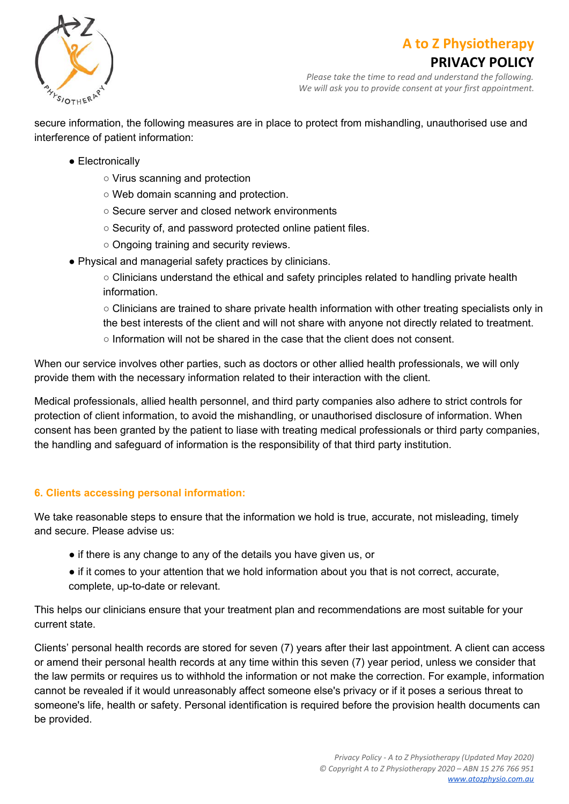

## **A to Z Physiotherapy**

## **PRIVACY POLICY**

*Please take the time to read and understand the following. We will ask you to provide consent at your first appointment.*

secure information, the following measures are in place to protect from mishandling, unauthorised use and interference of patient information:

- Electronically
	- Virus scanning and protection
	- Web domain scanning and protection.
	- Secure server and closed network environments
	- Security of, and password protected online patient files.
	- Ongoing training and security reviews.
- Physical and managerial safety practices by clinicians.
	- Clinicians understand the ethical and safety principles related to handling private health information.

○ Clinicians are trained to share private health information with other treating specialists only in the best interests of the client and will not share with anyone not directly related to treatment.

 $\circ$  Information will not be shared in the case that the client does not consent.

When our service involves other parties, such as doctors or other allied health professionals, we will only provide them with the necessary information related to their interaction with the client.

Medical professionals, allied health personnel, and third party companies also adhere to strict controls for protection of client information, to avoid the mishandling, or unauthorised disclosure of information. When consent has been granted by the patient to liase with treating medical professionals or third party companies, the handling and safeguard of information is the responsibility of that third party institution.

#### **6. Clients accessing personal information:**

We take reasonable steps to ensure that the information we hold is true, accurate, not misleading, timely and secure. Please advise us:

- if there is any change to any of the details you have given us, or
- if it comes to your attention that we hold information about you that is not correct, accurate, complete, up-to-date or relevant.

This helps our clinicians ensure that your treatment plan and recommendations are most suitable for your current state.

Clients' personal health records are stored for seven (7) years after their last appointment. A client can access or amend their personal health records at any time within this seven (7) year period, unless we consider that the law permits or requires us to withhold the information or not make the correction. For example, information cannot be revealed if it would unreasonably affect someone else's privacy or if it poses a serious threat to someone's life, health or safety. Personal identification is required before the provision health documents can be provided.